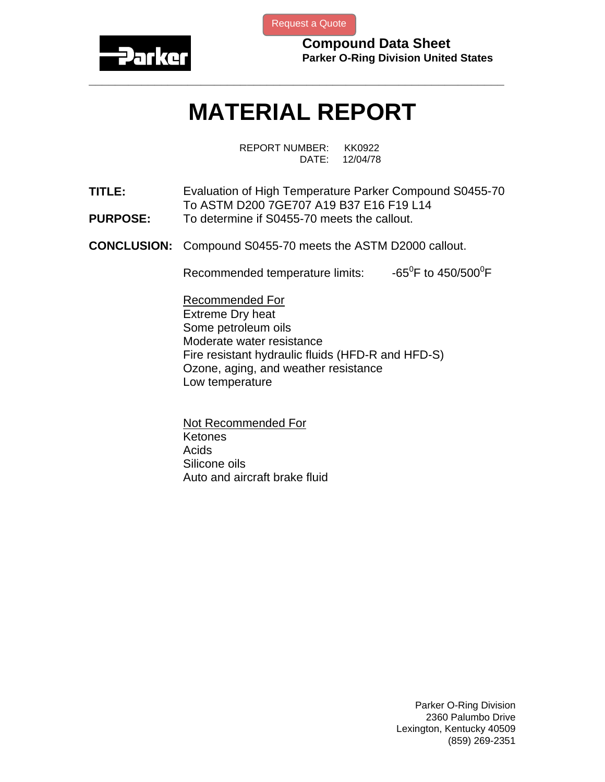

[Request a Quote](http://www.marcorubber.com/contact_quote.htm?material=Parker+S0455-70)

**Compound Data Sheet Parker O-Ring Division United States** 

## **MATERIAL REPORT**

**\_\_\_\_\_\_\_\_\_\_\_\_\_\_\_\_\_\_\_\_\_\_\_\_\_\_\_\_\_\_\_\_\_\_\_\_\_\_\_\_\_\_\_\_\_\_\_\_\_\_\_\_\_\_\_\_\_\_\_\_\_\_\_** 

REPORT NUMBER: KK0922 DATE: 12/04/78

- **TITLE:** Evaluation of High Temperature Parker Compound S0455-70 To ASTM D200 7GE707 A19 B37 E16 F19 L14 **PURPOSE:** To determine if S0455-70 meets the callout.
- **CONCLUSION:** Compound S0455-70 meets the ASTM D2000 callout.

Recommended temperature limits: F to 450/500 $\mathrm{^0F}$ 

Recommended For Extreme Dry heat Some petroleum oils Moderate water resistance Fire resistant hydraulic fluids (HFD-R and HFD-S) Ozone, aging, and weather resistance Low temperature

Not Recommended For **Ketones** Acids Silicone oils Auto and aircraft brake fluid

> Parker O-Ring Division 2360 Palumbo Drive Lexington, Kentucky 40509 (859) 269-2351